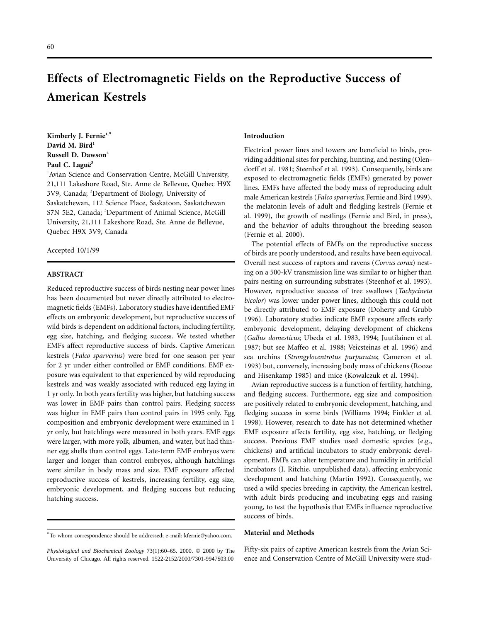# **Effects of Electromagnetic Fields on the Reproductive Success of American Kestrels**

**Kimberly J. Fernie1,\* David M. Bird<sup>1</sup> Russell D. Dawson2** Paul C. Laguë<sup>3</sup>

<sup>1</sup> Avian Science and Conservation Centre, McGill University, 21,111 Lakeshore Road, Ste. Anne de Bellevue, Quebec H9X 3V9, Canada; <sup>2</sup>Department of Biology, University of Saskatchewan, 112 Science Place, Saskatoon, Saskatchewan S7N 5E2, Canada; <sup>3</sup>Department of Animal Science, McGill University, 21,111 Lakeshore Road, Ste. Anne de Bellevue, Quebec H9X 3V9, Canada

Accepted 10/1/99

## **ABSTRACT**

Reduced reproductive success of birds nesting near power lines has been documented but never directly attributed to electromagnetic fields (EMFs). Laboratory studies have identified EMF effects on embryonic development, but reproductive success of wild birds is dependent on additional factors, including fertility, egg size, hatching, and fledging success. We tested whether EMFs affect reproductive success of birds. Captive American kestrels (*Falco sparverius*) were bred for one season per year for 2 yr under either controlled or EMF conditions. EMF exposure was equivalent to that experienced by wild reproducing kestrels and was weakly associated with reduced egg laying in 1 yr only. In both years fertility was higher, but hatching success was lower in EMF pairs than control pairs. Fledging success was higher in EMF pairs than control pairs in 1995 only. Egg composition and embryonic development were examined in 1 yr only, but hatchlings were measured in both years. EMF eggs were larger, with more yolk, albumen, and water, but had thinner egg shells than control eggs. Late-term EMF embryos were larger and longer than control embryos, although hatchlings were similar in body mass and size. EMF exposure affected reproductive success of kestrels, increasing fertility, egg size, embryonic development, and fledging success but reducing hatching success.

### **Introduction**

Electrical power lines and towers are beneficial to birds, providing additional sites for perching, hunting, and nesting (Olendorff et al. 1981; Steenhof et al. 1993). Consequently, birds are exposed to electromagnetic fields (EMFs) generated by power lines. EMFs have affected the body mass of reproducing adult male American kestrels (*Falco sparverius*; Fernie and Bird 1999), the melatonin levels of adult and fledgling kestrels (Fernie et al. 1999), the growth of nestlings (Fernie and Bird, in press), and the behavior of adults throughout the breeding season (Fernie et al. 2000).

The potential effects of EMFs on the reproductive success of birds are poorly understood, and results have been equivocal. Overall nest success of raptors and ravens (*Corvus corax*) nesting on a 500-kV transmission line was similar to or higher than pairs nesting on surrounding substrates (Steenhof et al. 1993). However, reproductive success of tree swallows (*Tachycineta bicolor*) was lower under power lines, although this could not be directly attributed to EMF exposure (Doherty and Grubb 1996). Laboratory studies indicate EMF exposure affects early embryonic development, delaying development of chickens (*Gallus domesticus*; Ubeda et al. 1983, 1994; Juutilainen et al. 1987; but see Maffeo et al. 1988; Veicsteinas et al. 1996) and sea urchins (*Strongylocentrotus purpuratus*; Cameron et al. 1993) but, conversely, increasing body mass of chickens (Rooze and Hisenkamp 1985) and mice (Kowalczuk et al. 1994).

Avian reproductive success is a function of fertility, hatching, and fledging success. Furthermore, egg size and composition are positively related to embryonic development, hatching, and fledging success in some birds (Williams 1994; Finkler et al. 1998). However, research to date has not determined whether EMF exposure affects fertility, egg size, hatching, or fledging success. Previous EMF studies used domestic species (e.g., chickens) and artificial incubators to study embryonic development. EMFs can alter temperature and humidity in artificial incubators (I. Ritchie, unpublished data), affecting embryonic development and hatching (Martin 1992). Consequently, we used a wild species breeding in captivity, the American kestrel, with adult birds producing and incubating eggs and raising young, to test the hypothesis that EMFs influence reproductive success of birds.

## **Material and Methods**

Fifty-six pairs of captive American kestrels from the Avian Science and Conservation Centre of McGill University were stud-

<sup>\*</sup>To whom correspondence should be addressed; e-mail: kfernie@yahoo.com.

*Physiological and Biochemical Zoology* 73(1):60–65. 2000. q 2000 by The University of Chicago. All rights reserved. 1522-2152/2000/7301-9947\$03.00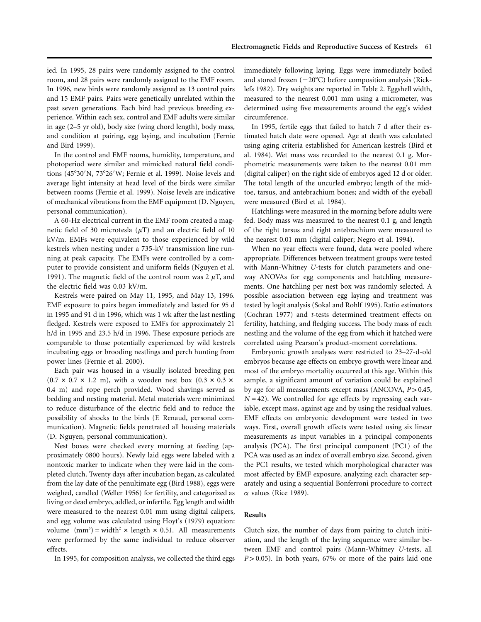ied. In 1995, 28 pairs were randomly assigned to the control room, and 28 pairs were randomly assigned to the EMF room. In 1996, new birds were randomly assigned as 13 control pairs and 15 EMF pairs. Pairs were genetically unrelated within the past seven generations. Each bird had previous breeding experience. Within each sex, control and EMF adults were similar in age (2–5 yr old), body size (wing chord length), body mass, and condition at pairing, egg laying, and incubation (Fernie and Bird 1999).

In the control and EMF rooms, humidity, temperature, and photoperiod were similar and mimicked natural field conditions (45°30'N, 73°26'W; Fernie et al. 1999). Noise levels and average light intensity at head level of the birds were similar between rooms (Fernie et al. 1999). Noise levels are indicative of mechanical vibrations from the EMF equipment (D. Nguyen, personal communication).

A 60-Hz electrical current in the EMF room created a magnetic field of 30 microtesla  $(\mu T)$  and an electric field of 10 kV/m. EMFs were equivalent to those experienced by wild kestrels when nesting under a 735-kV transmission line running at peak capacity. The EMFs were controlled by a computer to provide consistent and uniform fields (Nguyen et al. 1991). The magnetic field of the control room was 2  $\mu$ T, and the electric field was 0.03 kV/m.

Kestrels were paired on May 11, 1995, and May 13, 1996. EMF exposure to pairs began immediately and lasted for 95 d in 1995 and 91 d in 1996, which was 1 wk after the last nestling fledged. Kestrels were exposed to EMFs for approximately 21 h/d in 1995 and 23.5 h/d in 1996. These exposure periods are comparable to those potentially experienced by wild kestrels incubating eggs or brooding nestlings and perch hunting from power lines (Fernie et al. 2000).

Each pair was housed in a visually isolated breeding pen  $(0.7 \times 0.7 \times 1.2 \text{ m})$ , with a wooden nest box  $(0.3 \times 0.3 \times 1.2 \text{ m})$ 0.4 m) and rope perch provided. Wood shavings served as bedding and nesting material. Metal materials were minimized to reduce disturbance of the electric field and to reduce the possibility of shocks to the birds (F. Renaud, personal communication). Magnetic fields penetrated all housing materials (D. Nguyen, personal communication).

Nest boxes were checked every morning at feeding (approximately 0800 hours). Newly laid eggs were labeled with a nontoxic marker to indicate when they were laid in the completed clutch. Twenty days after incubation began, as calculated from the lay date of the penultimate egg (Bird 1988), eggs were weighed, candled (Weller 1956) for fertility, and categorized as living or dead embryo, addled, or infertile. Egg length and width were measured to the nearest 0.01 mm using digital calipers, and egg volume was calculated using Hoyt's (1979) equation: volume  $\text{(mm)}^3$  = width<sup>2</sup> × length × 0.51. All measurements were performed by the same individual to reduce observer effects.

In 1995, for composition analysis, we collected the third eggs

immediately following laying. Eggs were immediately boiled and stored frozen  $(-20^{\circ}C)$  before composition analysis (Ricklefs 1982). Dry weights are reported in Table 2. Eggshell width, measured to the nearest 0.001 mm using a micrometer, was determined using five measurements around the egg's widest circumference.

In 1995, fertile eggs that failed to hatch 7 d after their estimated hatch date were opened. Age at death was calculated using aging criteria established for American kestrels (Bird et al. 1984). Wet mass was recorded to the nearest 0.1 g. Morphometric measurements were taken to the nearest 0.01 mm (digital caliper) on the right side of embryos aged 12 d or older. The total length of the uncurled embryo; length of the midtoe, tarsus, and antebrachium bones; and width of the eyeball were measured (Bird et al. 1984).

Hatchlings were measured in the morning before adults were fed. Body mass was measured to the nearest 0.1 g, and length of the right tarsus and right antebrachium were measured to the nearest 0.01 mm (digital caliper; Negro et al. 1994).

When no year effects were found, data were pooled where appropriate. Differences between treatment groups were tested with Mann-Whitney *U*-tests for clutch parameters and oneway ANOVAs for egg components and hatchling measurements. One hatchling per nest box was randomly selected. A possible association between egg laying and treatment was tested by logit analysis (Sokal and Rohlf 1995). Ratio estimators (Cochran 1977) and *t*-tests determined treatment effects on fertility, hatching, and fledging success. The body mass of each nestling and the volume of the egg from which it hatched were correlated using Pearson's product-moment correlations.

Embryonic growth analyses were restricted to 23–27-d-old embryos because age effects on embryo growth were linear and most of the embryo mortality occurred at this age. Within this sample, a significant amount of variation could be explained by age for all measurements except mass (ANCOVA,  $P > 0.45$ , *N* = 42). We controlled for age effects by regressing each variable, except mass, against age and by using the residual values. EMF effects on embryonic development were tested in two ways. First, overall growth effects were tested using six linear measurements as input variables in a principal components analysis (PCA). The first principal component (PC1) of the PCA was used as an index of overall embryo size. Second, given the PC1 results, we tested which morphological character was most affected by EMF exposure, analyzing each character separately and using a sequential Bonferroni procedure to correct  $\alpha$  values (Rice 1989).

#### **Results**

Clutch size, the number of days from pairing to clutch initiation, and the length of the laying sequence were similar between EMF and control pairs (Mann-Whitney *U*-tests, all  $P > 0.05$ ). In both years, 67% or more of the pairs laid one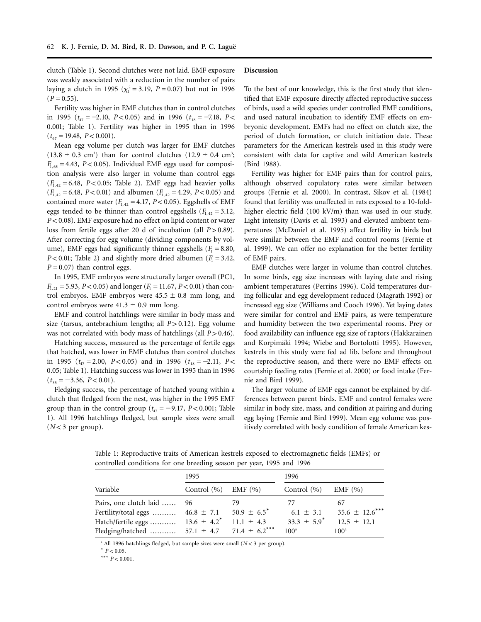clutch (Table 1). Second clutches were not laid. EMF exposure was weakly associated with a reduction in the number of pairs laying a clutch in 1995 ( $\chi_1^2 = 3.19$ ,  $P = 0.07$ ) but not in 1996  $(P = 0.55)$ .

Fertility was higher in EMF clutches than in control clutches in 1995 ( $t_{47} = -2.10$ ,  $P < 0.05$ ) and in 1996 ( $t_{18} = -7.18$ ,  $P <$ 0.001; Table 1). Fertility was higher in 1995 than in 1996  $(t_{67} = 19.48, P < 0.001).$ 

Mean egg volume per clutch was larger for EMF clutches  $(13.8 \pm 0.3 \text{ cm}^3)$  than for control clutches  $(12.9 \pm 0.4 \text{ cm}^3)$ ;  $F_{1,65} = 4.43$ ,  $P < 0.05$ ). Individual EMF eggs used for composition analysis were also larger in volume than control eggs ( $F_{1,42}$  = 6.48, *P* < 0.05; Table 2). EMF eggs had heavier yolks  $(F_{1,42} = 6.48, P < 0.01)$  and albumen  $(F_{1,42} = 4.29, P < 0.05)$  and contained more water  $(F_{1,42} = 4.17, P < 0.05)$ . Eggshells of EMF eggs tended to be thinner than control eggshells  $(F_{1,42} = 3.12,$ *P* < 0.08). EMF exposure had no effect on lipid content or water loss from fertile eggs after 20 d of incubation (all  $P > 0.89$ ). After correcting for egg volume (dividing components by volume), EMF eggs had significantly thinner eggshells  $(F_1 = 8.80,$ *P* < 0.01; Table 2) and slightly more dried albumen ( $F_1 = 3.42$ ,  $P = 0.07$  than control eggs.

In 1995, EMF embryos were structurally larger overall (PC1,  $F_{1,21} = 5.93$ ,  $P < 0.05$ ) and longer ( $F_1 = 11.67$ ,  $P < 0.01$ ) than control embryos. EMF embryos were  $45.5 \pm 0.8$  mm long, and control embryos were  $41.3 \pm 0.9$  mm long.

EMF and control hatchlings were similar in body mass and size (tarsus, antebrachium lengths; all  $P > 0.12$ ). Egg volume was not correlated with body mass of hatchlings (all  $P > 0.46$ ).

Hatching success, measured as the percentage of fertile eggs that hatched, was lower in EMF clutches than control clutches in 1995 ( $t_{47} = 2.00$ ,  $P < 0.05$ ) and in 1996 ( $t_{18} = -2.11$ ,  $P <$ 0.05; Table 1). Hatching success was lower in 1995 than in 1996  $(t_{35} = -3.36, P < 0.01).$ 

Fledging success, the percentage of hatched young within a clutch that fledged from the nest, was higher in the 1995 EMF group than in the control group  $(t_{47} = -9.17, P < 0.001;$  Table 1). All 1996 hatchlings fledged, but sample sizes were small  $(N<3$  per group).

#### **Discussion**

To the best of our knowledge, this is the first study that identified that EMF exposure directly affected reproductive success of birds, used a wild species under controlled EMF conditions, and used natural incubation to identify EMF effects on embryonic development. EMFs had no effect on clutch size, the period of clutch formation, or clutch initiation date. These parameters for the American kestrels used in this study were consistent with data for captive and wild American kestrels (Bird 1988).

Fertility was higher for EMF pairs than for control pairs, although observed copulatory rates were similar between groups (Fernie et al. 2000). In contrast, Sikov et al. (1984) found that fertility was unaffected in rats exposed to a 10-foldhigher electric field (100 kV/m) than was used in our study. Light intensity (Davis et al. 1993) and elevated ambient temperatures (McDaniel et al. 1995) affect fertility in birds but were similar between the EMF and control rooms (Fernie et al. 1999). We can offer no explanation for the better fertility of EMF pairs.

EMF clutches were larger in volume than control clutches. In some birds, egg size increases with laying date and rising ambient temperatures (Perrins 1996). Cold temperatures during follicular and egg development reduced (Magrath 1992) or increased egg size (Williams and Cooch 1996). Yet laying dates were similar for control and EMF pairs, as were temperature and humidity between the two experimental rooms. Prey or food availability can influence egg size of raptors (Hakkarainen and Korpimäki 1994; Wiebe and Bortolotti 1995). However, kestrels in this study were fed ad lib. before and throughout the reproductive season, and there were no EMF effects on courtship feeding rates (Fernie et al. 2000) or food intake (Fernie and Bird 1999).

The larger volume of EMF eggs cannot be explained by differences between parent birds. EMF and control females were similar in body size, mass, and condition at pairing and during egg laying (Fernie and Bird 1999). Mean egg volume was positively correlated with body condition of female American kes-

Table 1: Reproductive traits of American kestrels exposed to electromagnetic fields (EMFs) or controlled conditions for one breeding season per year, 1995 and 1996

|                                                                | 1995                        |                             | 1996                        |                     |  |
|----------------------------------------------------------------|-----------------------------|-----------------------------|-----------------------------|---------------------|--|
| Variable                                                       | Control $(\% )$ EMF $(\% )$ |                             | Control $(\% )$ EMF $(\% )$ |                     |  |
| Pairs, one clutch laid  96                                     |                             | 79                          | 77                          | 67                  |  |
| Fertility/total eggs $46.8 \pm 7.1$                            |                             | $50.9 \pm 6.5$ <sup>*</sup> | $6.1 \pm 3.1$               | $35.6 \pm 12.6$ *** |  |
| Hatch/fertile eggs $13.6 \pm 4.2^*$ 11.1 $\pm 4.3$             |                             |                             | $33.3 \pm 5.9$ <sup>*</sup> | $12.5 \pm 12.1$     |  |
| Fledging/hatched  57.1 $\pm$ 4.7 71.4 $\pm$ 6.2 <sup>***</sup> |                             |                             | 100 <sup>a</sup>            | 100 <sup>a</sup>    |  |
|                                                                |                             |                             |                             |                     |  |

 $^a$  All 1996 hatchlings fledged, but sample sizes were small ( $N < 3$  per group).

 $*$   $P < 0.05$ .

\*\*\*  $P < 0.001$ .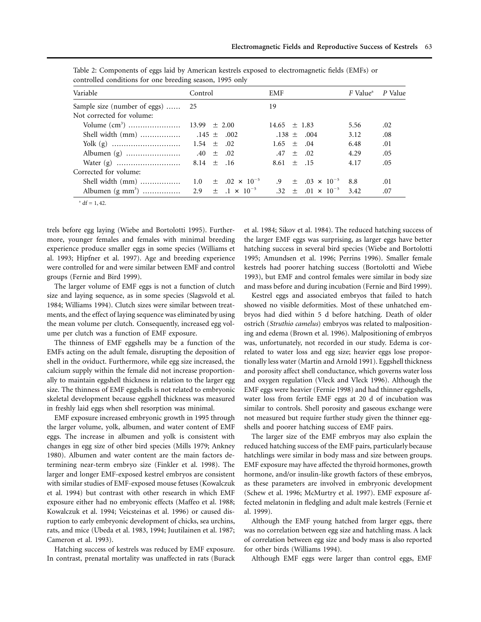| Variable                         | Control | EMF                             | F Value <sup>a</sup> P Value |     |
|----------------------------------|---------|---------------------------------|------------------------------|-----|
| Sample size (number of eggs)  25 |         | 19                              |                              |     |
| Not corrected for volume:        |         |                                 |                              |     |
|                                  |         | $14.65 \pm 1.83$                | 5.56                         | .02 |
|                                  |         | $.138 \pm .004$                 | 3.12                         | .08 |
|                                  |         | $1.65 \pm .04$                  | 6.48                         | .01 |
|                                  |         | $.47 \pm .02$                   | 4.29                         | .05 |
|                                  |         | $8.61 \pm .15$                  | 4.17                         | .05 |
| Corrected for volume:            |         |                                 |                              |     |
|                                  |         | $.9 \pm .03 \times 10^{-5}$ 8.8 |                              | .01 |
|                                  |         |                                 |                              | .07 |

Table 2: Components of eggs laid by American kestrels exposed to electromagnetic fields (EMFs) or controlled conditions for one breeding season, 1995 only

trels before egg laying (Wiebe and Bortolotti 1995). Furthermore, younger females and females with minimal breeding experience produce smaller eggs in some species (Williams et al. 1993; Hipfner et al. 1997). Age and breeding experience were controlled for and were similar between EMF and control groups (Fernie and Bird 1999).

The larger volume of EMF eggs is not a function of clutch size and laying sequence, as in some species (Slagsvold et al. 1984; Williams 1994). Clutch sizes were similar between treatments, and the effect of laying sequence was eliminated by using the mean volume per clutch. Consequently, increased egg volume per clutch was a function of EMF exposure.

The thinness of EMF eggshells may be a function of the EMFs acting on the adult female, disrupting the deposition of shell in the oviduct. Furthermore, while egg size increased, the calcium supply within the female did not increase proportionally to maintain eggshell thickness in relation to the larger egg size. The thinness of EMF eggshells is not related to embryonic skeletal development because eggshell thickness was measured in freshly laid eggs when shell resorption was minimal.

EMF exposure increased embryonic growth in 1995 through the larger volume, yolk, albumen, and water content of EMF eggs. The increase in albumen and yolk is consistent with changes in egg size of other bird species (Mills 1979; Ankney 1980). Albumen and water content are the main factors determining near-term embryo size (Finkler et al. 1998). The larger and longer EMF-exposed kestrel embryos are consistent with similar studies of EMF-exposed mouse fetuses (Kowalczuk et al. 1994) but contrast with other research in which EMF exposure either had no embryonic effects (Maffeo et al. 1988; Kowalczuk et al. 1994; Veicsteinas et al. 1996) or caused disruption to early embryonic development of chicks, sea urchins, rats, and mice (Ubeda et al. 1983, 1994; Juutilainen et al. 1987; Cameron et al. 1993).

Hatching success of kestrels was reduced by EMF exposure. In contrast, prenatal mortality was unaffected in rats (Burack et al. 1984; Sikov et al. 1984). The reduced hatching success of the larger EMF eggs was surprising, as larger eggs have better hatching success in several bird species (Wiebe and Bortolotti 1995; Amundsen et al. 1996; Perrins 1996). Smaller female kestrels had poorer hatching success (Bortolotti and Wiebe 1993), but EMF and control females were similar in body size and mass before and during incubation (Fernie and Bird 1999).

Kestrel eggs and associated embryos that failed to hatch showed no visible deformities. Most of these unhatched embryos had died within 5 d before hatching. Death of older ostrich (*Struthio camelus*) embryos was related to malpositioning and edema (Brown et al. 1996). Malpositioning of embryos was, unfortunately, not recorded in our study. Edema is correlated to water loss and egg size; heavier eggs lose proportionally less water (Martin and Arnold 1991). Eggshell thickness and porosity affect shell conductance, which governs water loss and oxygen regulation (Vleck and Vleck 1996). Although the EMF eggs were heavier (Fernie 1998) and had thinner eggshells, water loss from fertile EMF eggs at 20 d of incubation was similar to controls. Shell porosity and gaseous exchange were not measured but require further study given the thinner eggshells and poorer hatching success of EMF pairs.

The larger size of the EMF embryos may also explain the reduced hatching success of the EMF pairs, particularly because hatchlings were similar in body mass and size between groups. EMF exposure may have affected the thyroid hormones, growth hormone, and/or insulin-like growth factors of these embryos, as these parameters are involved in embryonic development (Schew et al. 1996; McMurtry et al. 1997). EMF exposure affected melatonin in fledgling and adult male kestrels (Fernie et al. 1999).

Although the EMF young hatched from larger eggs, there was no correlation between egg size and hatchling mass. A lack of correlation between egg size and body mass is also reported for other birds (Williams 1994).

Although EMF eggs were larger than control eggs, EMF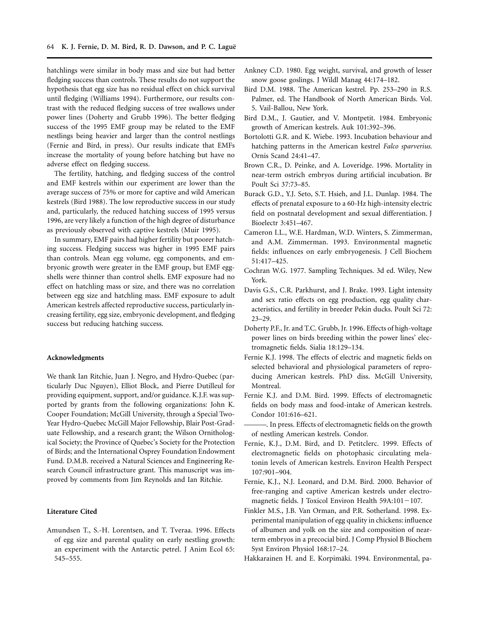hatchlings were similar in body mass and size but had better fledging success than controls. These results do not support the hypothesis that egg size has no residual effect on chick survival until fledging (Williams 1994). Furthermore, our results contrast with the reduced fledging success of tree swallows under power lines (Doherty and Grubb 1996). The better fledging success of the 1995 EMF group may be related to the EMF nestlings being heavier and larger than the control nestlings (Fernie and Bird, in press). Our results indicate that EMFs increase the mortality of young before hatching but have no adverse effect on fledging success.

The fertility, hatching, and fledging success of the control and EMF kestrels within our experiment are lower than the average success of 75% or more for captive and wild American kestrels (Bird 1988). The low reproductive success in our study and, particularly, the reduced hatching success of 1995 versus 1996, are very likely a function of the high degree of disturbance as previously observed with captive kestrels (Muir 1995).

In summary, EMF pairs had higher fertility but poorer hatching success. Fledging success was higher in 1995 EMF pairs than controls. Mean egg volume, egg components, and embryonic growth were greater in the EMF group, but EMF eggshells were thinner than control shells. EMF exposure had no effect on hatchling mass or size, and there was no correlation between egg size and hatchling mass. EMF exposure to adult American kestrels affected reproductive success, particularly increasing fertility, egg size, embryonic development, and fledging success but reducing hatching success.

## **Acknowledgments**

We thank Ian Ritchie, Juan J. Negro, and Hydro-Quebec (particularly Duc Nguyen), Elliot Block, and Pierre Dutilleul for providing equipment, support, and/or guidance. K.J.F. was supported by grants from the following organizations: John K. Cooper Foundation; McGill University, through a Special Two-Year Hydro-Quebec McGill Major Fellowship, Blair Post-Graduate Fellowship, and a research grant; the Wilson Ornithological Society; the Province of Quebec's Society for the Protection of Birds; and the International Osprey Foundation Endowment Fund. D.M.B. received a Natural Sciences and Engineering Research Council infrastructure grant. This manuscript was improved by comments from Jim Reynolds and Ian Ritchie.

#### **Literature Cited**

Amundsen T., S.-H. Lorentsen, and T. Tveraa. 1996. Effects of egg size and parental quality on early nestling growth: an experiment with the Antarctic petrel. J Anim Ecol 65: 545–555.

- Ankney C.D. 1980. Egg weight, survival, and growth of lesser snow goose goslings. J Wildl Manag 44:174–182.
- Bird D.M. 1988. The American kestrel. Pp. 253–290 in R.S. Palmer, ed. The Handbook of North American Birds. Vol. 5. Vail-Ballou, New York.
- Bird D.M., J. Gautier, and V. Montpetit. 1984. Embryonic growth of American kestrels. Auk 101:392–396.
- Bortolotti G.R. and K. Wiebe. 1993. Incubation behaviour and hatching patterns in the American kestrel *Falco sparverius*. Ornis Scand 24:41–47.
- Brown C.R., D. Peinke, and A. Loveridge. 1996. Mortality in near-term ostrich embryos during artificial incubation. Br Poult Sci 37:73–85.
- Burack G.D., Y.J. Seto, S.T. Hsieh, and J.L. Dunlap. 1984. The effects of prenatal exposure to a 60-Hz high-intensity electric field on postnatal development and sexual differentiation. J Bioelectr 3:451–467.
- Cameron I.L., W.E. Hardman, W.D. Winters, S. Zimmerman, and A.M. Zimmerman. 1993. Environmental magnetic fields: influences on early embryogenesis. J Cell Biochem 51:417–425.
- Cochran W.G. 1977. Sampling Techniques. 3d ed. Wiley, New York.
- Davis G.S., C.R. Parkhurst, and J. Brake. 1993. Light intensity and sex ratio effects on egg production, egg quality characteristics, and fertility in breeder Pekin ducks. Poult Sci 72: 23–29.
- Doherty P.F., Jr. and T.C. Grubb, Jr. 1996. Effects of high-voltage power lines on birds breeding within the power lines' electromagnetic fields. Sialia 18:129–134.
- Fernie K.J. 1998. The effects of electric and magnetic fields on selected behavioral and physiological parameters of reproducing American kestrels. PhD diss. McGill University, Montreal.
- Fernie K.J. and D.M. Bird. 1999. Effects of electromagnetic fields on body mass and food-intake of American kestrels. Condor 101:616–621.
- ———. In press. Effects of electromagnetic fields on the growth of nestling American kestrels. Condor.
- Fernie, K.J., D.M. Bird, and D. Petitclerc. 1999. Effects of electromagnetic fields on photophasic circulating melatonin levels of American kestrels. Environ Health Perspect 107:901–904.
- Fernie, K.J., N.J. Leonard, and D.M. Bird. 2000. Behavior of free-ranging and captive American kestrels under electromagnetic fields. J Toxicol Environ Health  $59A:101-107$ .
- Finkler M.S., J.B. Van Orman, and P.R. Sotherland. 1998. Experimental manipulation of egg quality in chickens: influence of albumen and yolk on the size and composition of nearterm embryos in a precocial bird. J Comp Physiol B Biochem Syst Environ Physiol 168:17–24.
- Hakkarainen H. and E. Korpimäki. 1994. Environmental, pa-